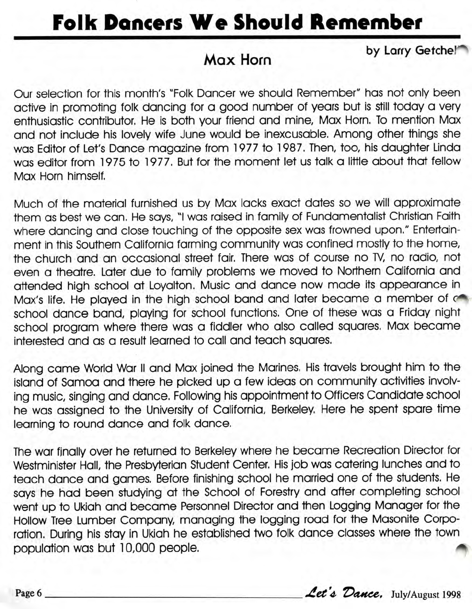## **Folk Dancers We Should Remember**

## **Max Horn**

by Larry Getchel<sup>\*\*</sup>

Our selection for this month's "Folk Dancer we should Remember" has not only been active in promoting folk dancing for a good number of years but is still today a very enthusiastic contributor. He is both your friend and mine, Max Horn. To mention Max and not include his lovely wife June would be inexcusable. Among other things she was Editor of Let's Dance magazine from 1977 to 1987. Then, too, his daughter Linda was editor from 1975 to 1977. But for the moment let us talk a little about that fellow Max Horn himself.

Much of the material furnished us by Max lacks exact dates so we will approximate them as best we can. He says, "I was raised in family of Fundamentalist Christian Faith where dancing and close touching of the opposite sex was frowned upon." Entertainment in this Southern California farming community was confined mostly to the home, the church and an occasional street fair. There was of course no TV, no radio, not even a theatre. Later due to family problems we moved to Northern California and attended high school at Loyalton. Music and dance now made its appearance in Max's life. He played in the high school band and later became a member of o school dance band, playing for school functions. One of these was a Friday night school program where there was a fiddler who also called squares. Max became interested and as a result learned to call and teach squares. **POIR DENTER WE SHOUTE REPRESE TO BY THE SECTION THE SECTION THE SECTION THE SECTION THE SECTION THE SECTION THAN THE SET IN THE SET IN THE SET IN THE SET IN THE SET IN THE SET IN THE SET IN THE SET IN THE SET IN THE SET I** 

Along came World War II and Max joined the Marines. His travels brought him to the island of Samoa and there he picked up a few ideas on community activities involving music, singing and dance. Following his appointment to Officers Candidate school he was assigned to the University of California, Berkeley. Here he spent spare time learning to round dance and folk dance.

The war finally over he returned to Berkeley where he became Recreation Director for Westminister Hall, the Presbyterian Student Center. His job was catering lunches and to teach dance and games. Before finishing school he married one of the students. He says he had been studying at the School of Forestry and after completing school went up to Ukiah and became Personnel Director and then Logging Manager for the Hollow Tree Lumber Company, managing the logging road for the Masonite Corporation. During his stay in Ukiah he established two folk dance classes where the town ration. During his stay in ukian ne established two fork dartce classes where the fown.<br>population was but 10,000 people.